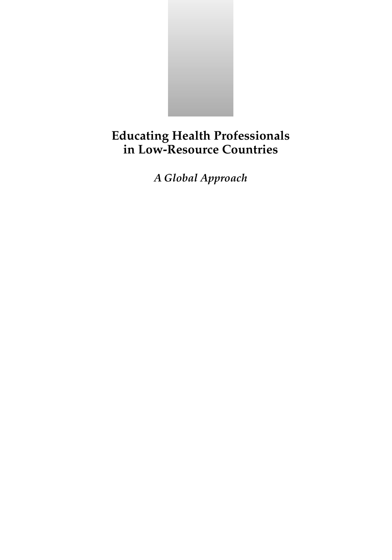# **Educating Health Professionals in Low-Resource Countries**

 *A Global Approach*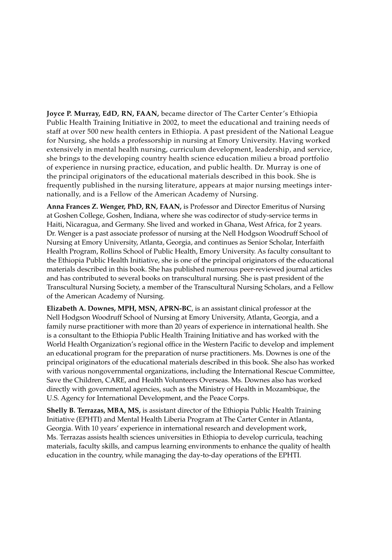**Joyce P. Murray, EdD, RN, FAAN,** became director of The Carter Center's Ethiopia Public Health Training Initiative in 2002, to meet the educational and training needs of staff at over 500 new health centers in Ethiopia. A past president of the National League for Nursing, she holds a professorship in nursing at Emory University. Having worked extensively in mental health nursing, curriculum development, leadership, and service, she brings to the developing country health science education milieu a broad portfolio of experience in nursing practice, education, and public health. Dr. Murray is one of the principal originators of the educational materials described in this book. She is frequently published in the nursing literature, appears at major nursing meetings internationally, and is a Fellow of the American Academy of Nursing.

**Anna Frances Z. Wenger, PhD, RN, FAAN,** is Professor and Director Emeritus of Nursing at Goshen College, Goshen, Indiana, where she was codirector of study-service terms in Haiti, Nicaragua, and Germany. She lived and worked in Ghana, West Africa, for 2 years. Dr. Wenger is a past associate professor of nursing at the Nell Hodgson Woodruff School of Nursing at Emory University, Atlanta, Georgia, and continues as Senior Scholar, Interfaith Health Program, Rollins School of Public Health, Emory University. As faculty consultant to the Ethiopia Public Health Initiative, she is one of the principal originators of the educational materials described in this book. She has published numerous peer-reviewed journal articles and has contributed to several books on transcultural nursing. She is past president of the Transcultural Nursing Society, a member of the Transcultural Nursing Scholars, and a Fellow of the American Academy of Nursing.

**Elizabeth A. Downes, MPH, MSN, APRN-BC** , is an assistant clinical professor at the Nell Hodgson Woodruff School of Nursing at Emory University, Atlanta, Georgia, and a family nurse practitioner with more than 20 years of experience in international health. She is a consultant to the Ethiopia Public Health Training Initiative and has worked with the World Health Organization's regional office in the Western Pacific to develop and implement an educational program for the preparation of nurse practitioners. Ms. Downes is one of the principal originators of the educational materials described in this book. She also has worked with various nongovernmental organizations, including the International Rescue Committee, Save the Children, CARE, and Health Volunteers Overseas. Ms. Downes also has worked directly with governmental agencies, such as the Ministry of Health in Mozambique, the U.S. Agency for International Development, and the Peace Corps.

**Shelly B. Terrazas, MBA, MS,** is assistant director of the Ethiopia Public Health Training Initiative (EPHTI) and Mental Health Liberia Program at The Carter Center in Atlanta, Georgia. With 10 years' experience in international research and development work, Ms. Terrazas assists health sciences universities in Ethiopia to develop curricula, teaching materials, faculty skills, and campus learning environments to enhance the quality of health education in the country, while managing the day-to-day operations of the EPHTI.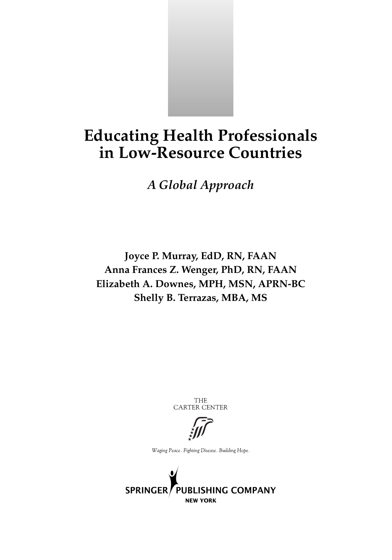# **Educating Health Professionals in Low-Resource Countries**

 *A Global Approach* 

 **Joyce P. Murray, EdD, RN, FAAN Anna Frances Z. Wenger, PhD, RN, FAAN Elizabeth A. Downes, MPH, MSN, APRN-BC Shelly B. Terrazas, MBA, MS** 

> THE **CARTER CENTER**

Waging Peace. Fighting Disease. Building Hope.

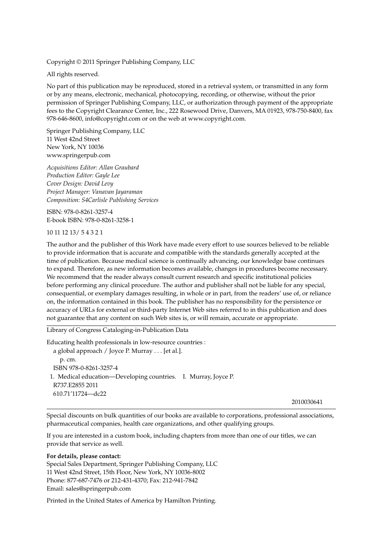Copyright © 2011 Springer Publishing Company, LLC

All rights reserved.

 No part of this publication may be reproduced, stored in a retrieval system, or transmitted in any form or by any means, electronic, mechanical, photocopying, recording, or otherwise, without the prior permission of Springer Publishing Company, LLC, or authorization through payment of the appropriate fees to the Copyright Clearance Center, Inc., 222 Rosewood Drive, Danvers, MA 01923, 978-750-8400, fax 978-646-8600, info@copyright.com or on the web at www.copyright.com .

 Springer Publishing Company, LLC 11 West 42nd Street New York, NY 10036 www.springerpub.com

*Acquisitions Editor: Allan Graubard Production Editor: Gayle Lee Cover Design: David Levy Project Manager: Vanavan Jayaraman Composition: S4Carlisle Publishing Services*

 ISBN: 978-0-8261-3257-4 E-book ISBN: 978-0-8261-3258-1

10 11 12 13/ 5 4 3 2 1

 The author and the publisher of this Work have made every effort to use sources believed to be reliable to provide information that is accurate and compatible with the standards generally accepted at the time of publication. Because medical science is continually advancing, our knowledge base continues to expand. Therefore, as new information becomes available, changes in procedures become necessary. We recommend that the reader always consult current research and specific institutional policies before performing any clinical procedure. The author and publisher shall not be liable for any special, consequential, or exemplary damages resulting, in whole or in part, from the readers' use of, or reliance on, the information contained in this book. The publisher has no responsibility for the persistence or accuracy of URLs for external or third-party Internet Web sites referred to in this publication and does not guarantee that any content on such Web sites is, or will remain, accurate or appropriate.

Library of Congress Cataloging-in-Publication Data

Educating health professionals in low-resource countries : a global approach / Joyce P. Murray . . . [et al.]. p. cm. ISBN 978-0-8261-3257-4 1. Medical education—Developing countries. I. Murray, Joyce P. R737.E2855 2011 610.71'11724—dc22

2010030641

 Special discounts on bulk quantities of our books are available to corporations, professional associations, pharmaceutical companies, health care organizations, and other qualifying groups.

 If you are interested in a custom book, including chapters from more than one of our titles, we can provide that service as well.

**For details, please contact:**

 Special Sales Department, Springer Publishing Company, LLC 11 West 42nd Street, 15th Floor, New York, NY 10036-8002 Phone: 877-687-7476 or 212-431-4370; Fax: 212-941-7842 Email: sales@springerpub.com

Printed in the United States of America by Hamilton Printing.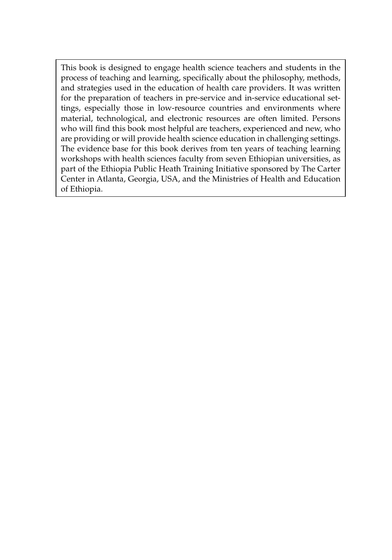This book is designed to engage health science teachers and students in the process of teaching and learning, specifically about the philosophy, methods, and strategies used in the education of health care providers. It was written for the preparation of teachers in pre-service and in-service educational settings, especially those in low-resource countries and environments where material, technological, and electronic resources are often limited. Persons who will find this book most helpful are teachers, experienced and new, who are providing or will provide health science education in challenging settings. The evidence base for this book derives from ten years of teaching learning workshops with health sciences faculty from seven Ethiopian universities, as part of the Ethiopia Public Heath Training Initiative sponsored by The Carter Center in Atlanta, Georgia, USA, and the Ministries of Health and Education of Ethiopia.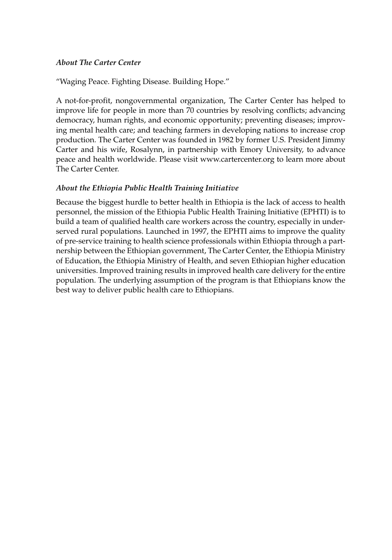## *About The Carter Center*

"Waging Peace. Fighting Disease. Building Hope."

A not-for-profit, nongovernmental organization, The Carter Center has helped to improve life for people in more than 70 countries by resolving conflicts; advancing democracy, human rights, and economic opportunity; preventing diseases; improving mental health care; and teaching farmers in developing nations to increase crop production. The Carter Center was founded in 1982 by former U.S. President Jimmy Carter and his wife, Rosalynn, in partnership with Emory University, to advance peace and health worldwide. Please visit www.cartercenter.org to learn more about The Carter Center.

## *About the Ethiopia Public Health Training Initiative*

Because the biggest hurdle to better health in Ethiopia is the lack of access to health personnel, the mission of the Ethiopia Public Health Training Initiative (EPHTI) is to build a team of qualified health care workers across the country, especially in underserved rural populations. Launched in 1997, the EPHTI aims to improve the quality of pre-service training to health science professionals within Ethiopia through a partnership between the Ethiopian government, The Carter Center, the Ethiopia Ministry of Education, the Ethiopia Ministry of Health, and seven Ethiopian higher education universities. Improved training results in improved health care delivery for the entire population. The underlying assumption of the program is that Ethiopians know the best way to deliver public health care to Ethiopians.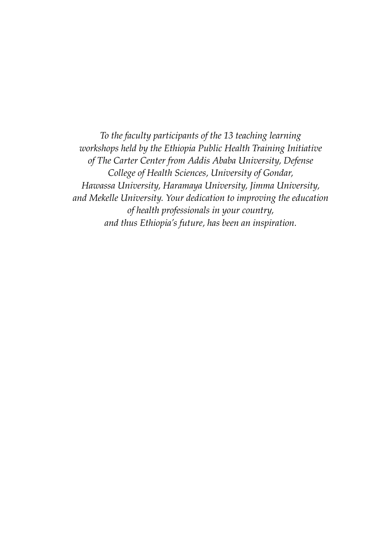*To the faculty participants of the 13 teaching learning workshops held by the Ethiopia Public Health Training Initiative of The Carter Center from Addis Ababa University, Defense College of Health Sciences, University of Gondar, Hawassa University, Haramaya University, Jimma University, and Mekelle University. Your dedication to improving the education of health professionals in your country, and thus Ethiopia's future, has been an inspiration.*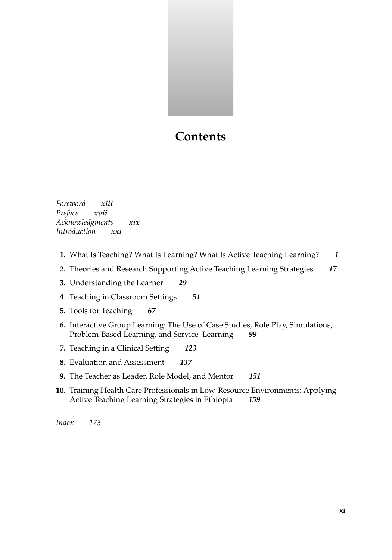

# **Contents**

*Foreword xiii Preface xvii Acknowledgments xix Introduction xxi*

- **1.** What Is Teaching? What Is Learning? What Is Active Teaching Learning? *1*
- **2.** Theories and Research Supporting Active Teaching Learning Strategies *17*
- **3.** Understanding the Learner *29*
- **4**. Teaching in Classroom Settings *51*
- **5.** Tools for Teaching *67*
- **6.** Interactive Group Learning: The Use of Case Studies, Role Play, Simulations, Problem-Based Learning, and Service–Learning *99*
- **7.** Teaching in a Clinical Setting *123*
- **8.** Evaluation and Assessment *137*
- **9.** The Teacher as Leader, Role Model, and Mentor *151*
- **10.** Training Health Care Professionals in Low-Resource Environments: Applying Active Teaching Learning Strategies in Ethiopia *159*

*Index 173*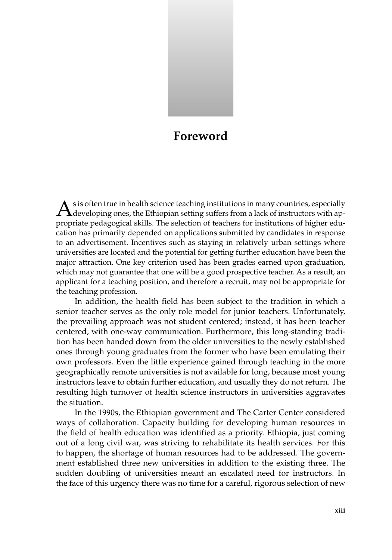

# **Foreword**

 $A$ s is often true in health science teaching institutions in many countries, especially developing ones, the Ethiopian setting suffers from a lack of instructors with appropriate pedagogical skills. The selection of teachers for institutions of higher education has primarily depended on applications submitted by candidates in response to an advertisement. Incentives such as staying in relatively urban settings where universities are located and the potential for getting further education have been the major attraction. One key criterion used has been grades earned upon graduation, which may not guarantee that one will be a good prospective teacher. As a result, an applicant for a teaching position, and therefore a recruit, may not be appropriate for the teaching profession.

 In addition, the health field has been subject to the tradition in which a senior teacher serves as the only role model for junior teachers. Unfortunately, the prevailing approach was not student centered; instead, it has been teacher centered, with one-way communication. Furthermore, this long-standing tradition has been handed down from the older universities to the newly established ones through young graduates from the former who have been emulating their own professors. Even the little experience gained through teaching in the more geographically remote universities is not available for long, because most young instructors leave to obtain further education, and usually they do not return. The resulting high turnover of health science instructors in universities aggravates the situation.

 In the 1990s, the Ethiopian government and The Carter Center considered ways of collaboration. Capacity building for developing human resources in the field of health education was identified as a priority. Ethiopia, just coming out of a long civil war, was striving to rehabilitate its health services. For this to happen, the shortage of human resources had to be addressed. The government established three new universities in addition to the existing three. The sudden doubling of universities meant an escalated need for instructors. In the face of this urgency there was no time for a careful, rigorous selection of new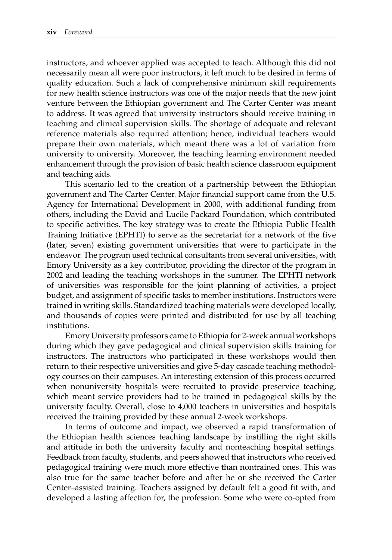instructors, and whoever applied was accepted to teach. Although this did not necessarily mean all were poor instructors, it left much to be desired in terms of quality education. Such a lack of comprehensive minimum skill requirements for new health science instructors was one of the major needs that the new joint venture between the Ethiopian government and The Carter Center was meant to address. It was agreed that university instructors should receive training in teaching and clinical supervision skills. The shortage of adequate and relevant reference materials also required attention; hence, individual teachers would prepare their own materials, which meant there was a lot of variation from university to university. Moreover, the teaching learning environment needed enhancement through the provision of basic health science classroom equipment and teaching aids.

 This scenario led to the creation of a partnership between the Ethiopian government and The Carter Center. Major financial support came from the U.S. Agency for International Development in 2000, with additional funding from others, including the David and Lucile Packard Foundation, which contributed to specific activities. The key strategy was to create the Ethiopia Public Health Training Initiative (EPHTI) to serve as the secretariat for a network of the five (later, seven) existing government universities that were to participate in the endeavor. The program used technical consultants from several universities, with Emory University as a key contributor, providing the director of the program in 2002 and leading the teaching workshops in the summer. The EPHTI network of universities was responsible for the joint planning of activities, a project budget, and assignment of specific tasks to member institutions. Instructors were trained in writing skills. Standardized teaching materials were developed locally, and thousands of copies were printed and distributed for use by all teaching institutions.

 Emory University professors came to Ethiopia for 2-week annual workshops during which they gave pedagogical and clinical supervision skills training for instructors. The instructors who participated in these workshops would then return to their respective universities and give 5-day cascade teaching methodology courses on their campuses. An interesting extension of this process occurred when nonuniversity hospitals were recruited to provide preservice teaching, which meant service providers had to be trained in pedagogical skills by the university faculty. Overall, close to 4,000 teachers in universities and hospitals received the training provided by these annual 2-week workshops.

 In terms of outcome and impact, we observed a rapid transformation of the Ethiopian health sciences teaching landscape by instilling the right skills and attitude in both the university faculty and nonteaching hospital settings. Feedback from faculty, students, and peers showed that instructors who received pedagogical training were much more effective than nontrained ones. This was also true for the same teacher before and after he or she received the Carter Center–assisted training. Teachers assigned by default felt a good fit with, and developed a lasting affection for, the profession. Some who were co-opted from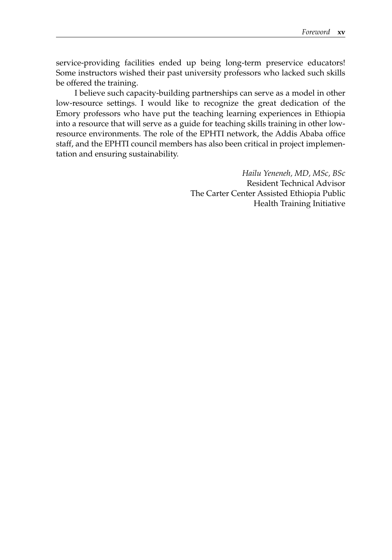service-providing facilities ended up being long-term preservice educators! Some instructors wished their past university professors who lacked such skills be offered the training.

 I believe such capacity-building partnerships can serve as a model in other low-resource settings. I would like to recognize the great dedication of the Emory professors who have put the teaching learning experiences in Ethiopia into a resource that will serve as a guide for teaching skills training in other lowresource environments. The role of the EPHTI network, the Addis Ababa office staff, and the EPHTI council members has also been critical in project implementation and ensuring sustainability.

> *Hailu Yeneneh, MD, MSc, BSc*  Resident Technical Advisor The Carter Center Assisted Ethiopia Public Health Training Initiative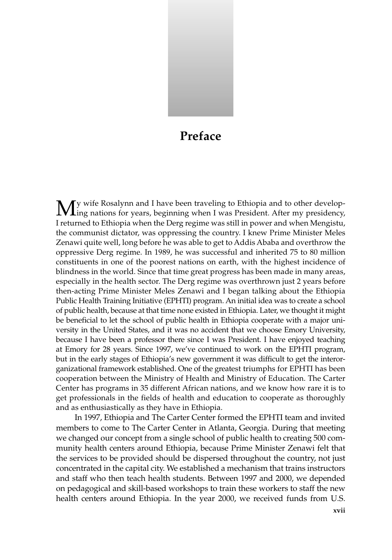

# **Preface**

'y wife Rosalynn and I have been traveling to Ethiopia and to other develop-**L**ing nations for years, beginning when I was President. After my presidency, I returned to Ethiopia when the Derg regime was still in power and when Mengistu, the communist dictator, was oppressing the country. I knew Prime Minister Meles Zenawi quite well, long before he was able to get to Addis Ababa and overthrow the oppressive Derg regime. In 1989, he was successful and inherited 75 to 80 million constituents in one of the poorest nations on earth, with the highest incidence of blindness in the world. Since that time great progress has been made in many areas, especially in the health sector. The Derg regime was overthrown just 2 years before then-acting Prime Minister Meles Zenawi and I began talking about the Ethiopia Public Health Training Initiative (EPHTI) program. An initial idea was to create a school of public health, because at that time none existed in Ethiopia. Later, we thought it might be beneficial to let the school of public health in Ethiopia cooperate with a major university in the United States, and it was no accident that we choose Emory University, because I have been a professor there since I was President. I have enjoyed teaching at Emory for 28 years. Since 1997, we've continued to work on the EPHTI program, but in the early stages of Ethiopia's new government it was difficult to get the interorganizational framework established. One of the greatest triumphs for EPHTI has been cooperation between the Ministry of Health and Ministry of Education. The Carter Center has programs in 35 different African nations, and we know how rare it is to get professionals in the fields of health and education to cooperate as thoroughly and as enthusiastically as they have in Ethiopia.

 In 1997, Ethiopia and The Carter Center formed the EPHTI team and invited members to come to The Carter Center in Atlanta, Georgia. During that meeting we changed our concept from a single school of public health to creating 500 community health centers around Ethiopia, because Prime Minister Zenawi felt that the services to be provided should be dispersed throughout the country, not just concentrated in the capital city. We established a mechanism that trains instructors and staff who then teach health students. Between 1997 and 2000, we depended on pedagogical and skill-based workshops to train these workers to staff the new health centers around Ethiopia. In the year 2000, we received funds from U.S.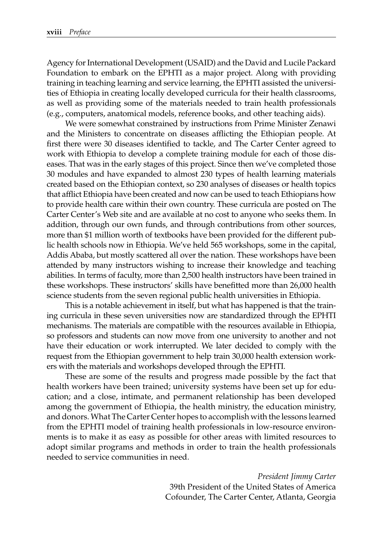Agency for International Development (USAID) and the David and Lucile Packard Foundation to embark on the EPHTI as a major project. Along with providing training in teaching learning and service learning, the EPHTI assisted the universities of Ethiopia in creating locally developed curricula for their health classrooms, as well as providing some of the materials needed to train health professionals (e.g., computers, anatomical models, reference books, and other teaching aids).

 We were somewhat constrained by instructions from Prime Minister Zenawi and the Ministers to concentrate on diseases afflicting the Ethiopian people. At first there were 30 diseases identified to tackle, and The Carter Center agreed to work with Ethiopia to develop a complete training module for each of those diseases. That was in the early stages of this project. Since then we've completed those 30 modules and have expanded to almost 230 types of health learning materials created based on the Ethiopian context, so 230 analyses of diseases or health topics that afflict Ethiopia have been created and now can be used to teach Ethiopians how to provide health care within their own country. These curricula are posted on The Carter Center's Web site and are available at no cost to anyone who seeks them. In addition, through our own funds, and through contributions from other sources, more than \$1 million worth of textbooks have been provided for the different public health schools now in Ethiopia. We've held 565 workshops, some in the capital, Addis Ababa, but mostly scattered all over the nation. These workshops have been attended by many instructors wishing to increase their knowledge and teaching abilities. In terms of faculty, more than 2,500 health instructors have been trained in these workshops. These instructors' skills have benefitted more than 26,000 health science students from the seven regional public health universities in Ethiopia.

 This is a notable achievement in itself, but what has happened is that the training curricula in these seven universities now are standardized through the EPHTI mechanisms. The materials are compatible with the resources available in Ethiopia, so professors and students can now move from one university to another and not have their education or work interrupted. We later decided to comply with the request from the Ethiopian government to help train 30,000 health extension workers with the materials and workshops developed through the EPHTI.

 These are some of the results and progress made possible by the fact that health workers have been trained; university systems have been set up for education; and a close, intimate, and permanent relationship has been developed among the government of Ethiopia, the health ministry, the education ministry, and donors. What The Carter Center hopes to accomplish with the lessons learned from the EPHTI model of training health professionals in low-resource environments is to make it as easy as possible for other areas with limited resources to adopt similar programs and methods in order to train the health professionals needed to service communities in need.

> *President Jimmy Carter*  39th President of the United States of America Cofounder, The Carter Center, Atlanta, Georgia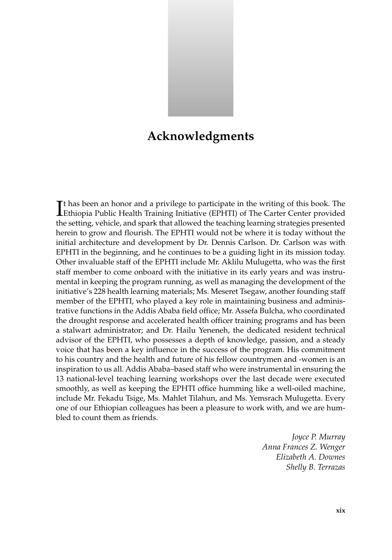# **Acknowledgments**

It has been an honor and a privilege to participate in the writing of this book. The Ethiopia Public Health Training Initiative (EPHTI) of The Carter Center provided Ethiopia Public Health Training Initiative (EPHTI) of The Carter Center provided the setting, vehicle, and spark that allowed the teaching learning strategies presented herein to grow and flourish. The EPHTI would not be where it is today without the initial architecture and development by Dr. Dennis Carlson. Dr. Carlson was with EPHTI in the beginning, and he continues to be a guiding light in its mission today. Other invaluable staff of the EPHTI include Mr. Aklilu Mulugetta, who was the first staff member to come onboard with the initiative in its early years and was instrumental in keeping the program running, as well as managing the development of the initiative's 228 health learning materials; Ms. Meseret Tsegaw, another founding staff member of the EPHTI, who played a key role in maintaining business and administrative functions in the Addis Ababa field office; Mr. Assefa Bulcha, who coordinated the drought response and accelerated health officer training programs and has been a stalwart administrator; and Dr. Hailu Yeneneh, the dedicated resident technical advisor of the EPHTI, who possesses a depth of knowledge, passion, and a steady voice that has been a key influence in the success of the program. His commitment to his country and the health and future of his fellow countrymen and -women is an inspiration to us all. Addis Ababa–based staff who were instrumental in ensuring the 13 national-level teaching learning workshops over the last decade were executed smoothly, as well as keeping the EPHTI office humming like a well-oiled machine, include Mr. Fekadu Tsige, Ms. Mahlet Tilahun, and Ms. Yemsrach Mulugetta. Every one of our Ethiopian colleagues has been a pleasure to work with, and we are humbled to count them as friends.

> *Joyce P. Murray Anna Frances Z. Wenger Elizabeth A. Downes Shelly B. Terrazas*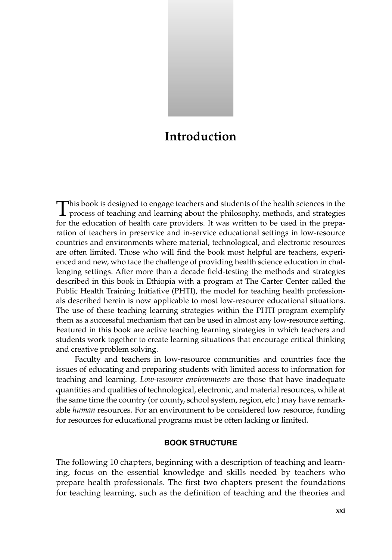

# **Introduction**

**This book is designed to engage teachers and students of the health sciences in the** process of teaching and learning about the philosophy, methods, and strategies for the education of health care providers. It was written to be used in the preparation of teachers in preservice and in-service educational settings in low-resource countries and environments where material, technological, and electronic resources are often limited. Those who will find the book most helpful are teachers, experienced and new, who face the challenge of providing health science education in challenging settings. After more than a decade field-testing the methods and strategies described in this book in Ethiopia with a program at The Carter Center called the Public Health Training Initiative (PHTI), the model for teaching health professionals described herein is now applicable to most low-resource educational situations. The use of these teaching learning strategies within the PHTI program exemplify them as a successful mechanism that can be used in almost any low-resource setting. Featured in this book are active teaching learning strategies in which teachers and students work together to create learning situations that encourage critical thinking and creative problem solving.

 Faculty and teachers in low-resource communities and countries face the issues of educating and preparing students with limited access to information for teaching and learning. *Low-resource environments* are those that have inadequate quantities and qualities of technological, electronic, and material resources, while at the same time the country (or county, school system, region, etc.) may have remarkable *human* resources. For an environment to be considered low resource, funding for resources for educational programs must be often lacking or limited.

#### **BOOK STRUCTURE**

 The following 10 chapters, beginning with a description of teaching and learning, focus on the essential knowledge and skills needed by teachers who prepare health professionals. The first two chapters present the foundations for teaching learning, such as the definition of teaching and the theories and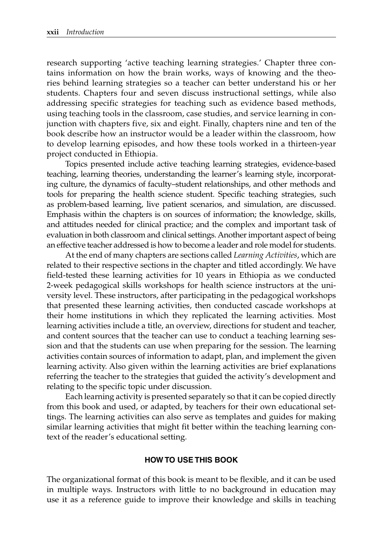research supporting 'active teaching learning strategies.' Chapter three contains information on how the brain works, ways of knowing and the theories behind learning strategies so a teacher can better understand his or her students. Chapters four and seven discuss instructional settings, while also addressing specific strategies for teaching such as evidence based methods, using teaching tools in the classroom, case studies, and service learning in conjunction with chapters five, six and eight. Finally, chapters nine and ten of the book describe how an instructor would be a leader within the classroom, how to develop learning episodes, and how these tools worked in a thirteen-year project conducted in Ethiopia.

 Topics presented include active teaching learning strategies, evidence-based teaching, learning theories, understanding the learner's learning style, incorporating culture, the dynamics of faculty–student relationships, and other methods and tools for preparing the health science student. Specific teaching strategies, such as problem-based learning, live patient scenarios, and simulation, are discussed. Emphasis within the chapters is on sources of information; the knowledge, skills, and attitudes needed for clinical practice; and the complex and important task of evaluation in both classroom and clinical settings. Another important aspect of being an effective teacher addressed is how to become a leader and role model for students.

 At the end of many chapters are sections called *Learning Activities* , which are related to their respective sections in the chapter and titled accordingly. We have field-tested these learning activities for 10 years in Ethiopia as we conducted 2-week pedagogical skills workshops for health science instructors at the university level. These instructors, after participating in the pedagogical workshops that presented these learning activities, then conducted cascade workshops at their home institutions in which they replicated the learning activities. Most learning activities include a title, an overview, directions for student and teacher, and content sources that the teacher can use to conduct a teaching learning session and that the students can use when preparing for the session. The learning activities contain sources of information to adapt, plan, and implement the given learning activity. Also given within the learning activities are brief explanations referring the teacher to the strategies that guided the activity's development and relating to the specific topic under discussion.

 Each learning activity is presented separately so that it can be copied directly from this book and used, or adapted, by teachers for their own educational settings. The learning activities can also serve as templates and guides for making similar learning activities that might fit better within the teaching learning context of the reader's educational setting.

#### **HOW TO USE THIS BOOK**

 The organizational format of this book is meant to be flexible, and it can be used in multiple ways. Instructors with little to no background in education may use it as a reference guide to improve their knowledge and skills in teaching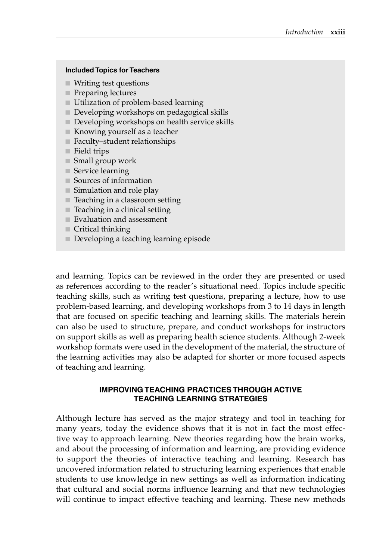#### **Included Topics for Teachers**

- Writing test questions
- Preparing lectures
- Utilization of problem-based learning
- Developing workshops on pedagogical skills
- Developing workshops on health service skills
- Knowing yourself as a teacher
- Faculty–student relationships
- Field trips
- Small group work
- Service learning
- Sources of information
- Simulation and role play
- Teaching in a classroom setting
- Teaching in a clinical setting
- Evaluation and assessment
- Critical thinking
- Developing a teaching learning episode

and learning. Topics can be reviewed in the order they are presented or used as references according to the reader's situational need. Topics include specific teaching skills, such as writing test questions, preparing a lecture, how to use problem-based learning, and developing workshops from 3 to 14 days in length that are focused on specific teaching and learning skills. The materials herein can also be used to structure, prepare, and conduct workshops for instructors on support skills as well as preparing health science students. Although 2-week workshop formats were used in the development of the material, the structure of the learning activities may also be adapted for shorter or more focused aspects of teaching and learning.

#### **IMPROVING TEACHING PRACTICES THROUGH ACTIVE TEACHING LEARNING STRATEGIES**

 Although lecture has served as the major strategy and tool in teaching for many years, today the evidence shows that it is not in fact the most effective way to approach learning. New theories regarding how the brain works, and about the processing of information and learning, are providing evidence to support the theories of interactive teaching and learning. Research has uncovered information related to structuring learning experiences that enable students to use knowledge in new settings as well as information indicating that cultural and social norms influence learning and that new technologies will continue to impact effective teaching and learning. These new methods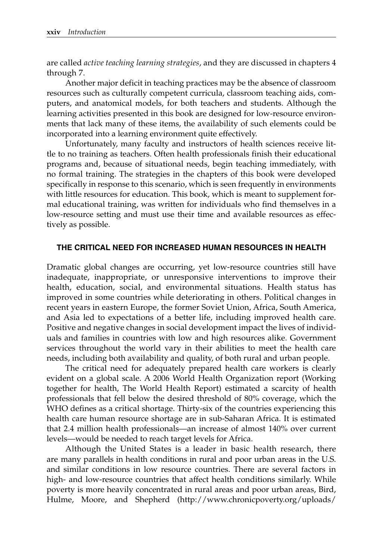are called *active teaching learning strategies* , and they are discussed in chapters 4 through 7.

 Another major deficit in teaching practices may be the absence of classroom resources such as culturally competent curricula, classroom teaching aids, computers, and anatomical models, for both teachers and students. Although the learning activities presented in this book are designed for low-resource environments that lack many of these items, the availability of such elements could be incorporated into a learning environment quite effectively.

 Unfortunately, many faculty and instructors of health sciences receive little to no training as teachers. Often health professionals finish their educational programs and, because of situational needs, begin teaching immediately, with no formal training. The strategies in the chapters of this book were developed specifically in response to this scenario, which is seen frequently in environments with little resources for education. This book, which is meant to supplement formal educational training, was written for individuals who find themselves in a low-resource setting and must use their time and available resources as effectively as possible.

#### **THE CRITICAL NEED FOR INCREASED HUMAN RESOURCES IN HEALTH**

 Dramatic global changes are occurring, yet low-resource countries still have inadequate, inappropriate, or unresponsive interventions to improve their health, education, social, and environmental situations. Health status has improved in some countries while deteriorating in others. Political changes in recent years in eastern Europe, the former Soviet Union, Africa, South America, and Asia led to expectations of a better life, including improved health care. Positive and negative changes in social development impact the lives of individuals and families in countries with low and high resources alike. Government services throughout the world vary in their abilities to meet the health care needs, including both availability and quality, of both rural and urban people.

 The critical need for adequately prepared health care workers is clearly evident on a global scale. A 2006 World Health Organization report (Working together for health, The World Health Report) estimated a scarcity of health professionals that fell below the desired threshold of 80% coverage, which the WHO defines as a critical shortage. Thirty-six of the countries experiencing this health care human resource shortage are in sub-Saharan Africa. It is estimated that 2.4 million health professionals—an increase of almost 140% over current levels—would be needed to reach target levels for Africa.

Although the United States is a leader in basic health research, there are many parallels in health conditions in rural and poor urban areas in the U.S. and similar conditions in low resource countries. There are several factors in high- and low-resource countries that affect health conditions similarly. While poverty is more heavily concentrated in rural areas and poor urban areas, Bird, Hulme, Moore, and Shepherd (http://www.chronicpoverty.org/uploads/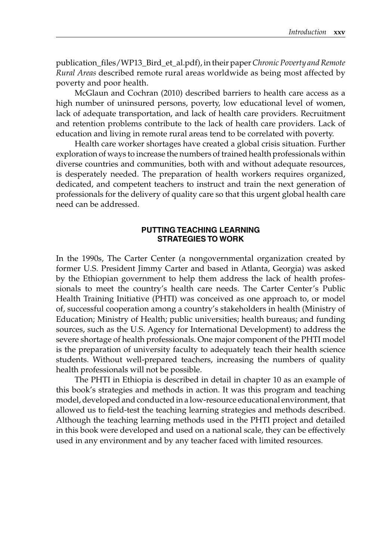publication\_files/WP13\_Bird\_et\_al.pdf), in their paper *Chronic Poverty and Remote Rural Areas* described remote rural areas worldwide as being most affected by poverty and poor health.

McGlaun and Cochran (2010) described barriers to health care access as a high number of uninsured persons, poverty, low educational level of women, lack of adequate transportation, and lack of health care providers. Recruitment and retention problems contribute to the lack of health care providers. Lack of education and living in remote rural areas tend to be correlated with poverty.

 Health care worker shortages have created a global crisis situation. Further exploration of ways to increase the numbers of trained health professionals within diverse countries and communities, both with and without adequate resources, is desperately needed. The preparation of health workers requires organized, dedicated, and competent teachers to instruct and train the next generation of professionals for the delivery of quality care so that this urgent global health care need can be addressed.

#### **PUTTING TEACHING LEARNING STRATEGIES TO WORK**

 In the 1990s, The Carter Center (a nongovernmental organization created by former U.S. President Jimmy Carter and based in Atlanta, Georgia) was asked by the Ethiopian government to help them address the lack of health professionals to meet the country's health care needs. The Carter Center's Public Health Training Initiative (PHTI) was conceived as one approach to, or model of, successful cooperation among a country's stakeholders in health (Ministry of Education; Ministry of Health; public universities; health bureaus; and funding sources, such as the U.S. Agency for International Development) to address the severe shortage of health professionals. One major component of the PHTI model is the preparation of university faculty to adequately teach their health science students. Without well-prepared teachers, increasing the numbers of quality health professionals will not be possible.

 The PHTI in Ethiopia is described in detail in chapter 10 as an example of this book's strategies and methods in action. It was this program and teaching model, developed and conducted in a low-resource educational environment, that allowed us to field-test the teaching learning strategies and methods described. Although the teaching learning methods used in the PHTI project and detailed in this book were developed and used on a national scale, they can be effectively used in any environment and by any teacher faced with limited resources.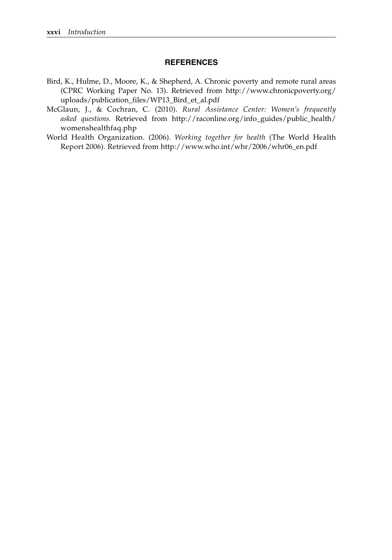#### **REFERENCES**

- Bird, K., Hulme, D., Moore, K., & Shepherd, A. Chronic poverty and remote rural areas (CPRC Working Paper No. 13). Retrieved from http://www.chronicpoverty.org/ uploads/publication\_files/WP13\_Bird\_et\_al.pdf
- McGlaun, J., & Cochran, C. (2010). *Rural Assistance Center: Women's frequently asked questions.* Retrieved from http://raconline.org/info\_guides/public\_health/ womenshealthfaq.php
- World Health Organization. (2006). *Working together for health* (The World Health Report 2006). Retrieved from http://www.who.int/whr/2006/whr06\_en.pdf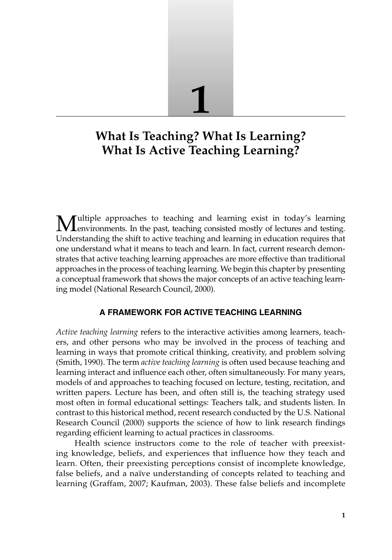# **1**

# **What Is Teaching? What Is Learning? What Is Active Teaching Learning?**

**Multiple approaches to teaching and learning exist in today's learning**<br>
environments. In the past, teaching consisted mostly of lectures and testing. Understanding the shift to active teaching and learning in education requires that one understand what it means to teach and learn. In fact, current research demonstrates that active teaching learning approaches are more effective than traditional approaches in the process of teaching learning. We begin this chapter by presenting a conceptual framework that shows the major concepts of an active teaching learning model (National Research Council, 2000).

# **A FRAMEWORK FOR ACTIVE TEACHING LEARNING**

*Active teaching learning* refers to the interactive activities among learners, teachers, and other persons who may be involved in the process of teaching and learning in ways that promote critical thinking, creativity, and problem solving (Smith, 1990). The term *active teaching learning* is often used because teaching and learning interact and influence each other, often simultaneously. For many years, models of and approaches to teaching focused on lecture, testing, recitation, and written papers. Lecture has been, and often still is, the teaching strategy used most often in formal educational settings: Teachers talk, and students listen. In contrast to this historical method, recent research conducted by the U.S. National Research Council (2000) supports the science of how to link research findings regarding efficient learning to actual practices in classrooms.

 Health science instructors come to the role of teacher with preexisting knowledge, beliefs, and experiences that influence how they teach and learn. Often, their preexisting perceptions consist of incomplete knowledge, false beliefs, and a naïve understanding of concepts related to teaching and learning (Graffam, 2007; Kaufman, 2003). These false beliefs and incomplete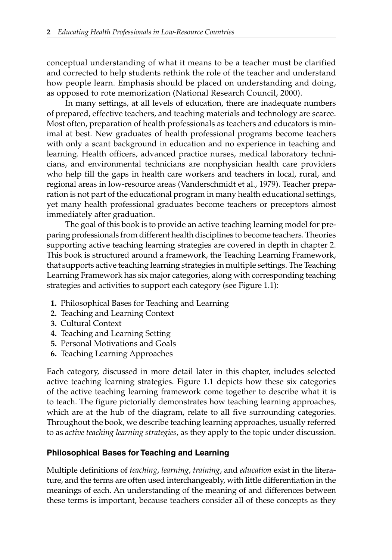conceptual understanding of what it means to be a teacher must be clarified and corrected to help students rethink the role of the teacher and understand how people learn. Emphasis should be placed on understanding and doing, as opposed to rote memorization (National Research Council, 2000).

 In many settings, at all levels of education, there are inadequate numbers of prepared, effective teachers, and teaching materials and technology are scarce. Most often, preparation of health professionals as teachers and educators is minimal at best. New graduates of health professional programs become teachers with only a scant background in education and no experience in teaching and learning. Health officers, advanced practice nurses, medical laboratory technicians, and environmental technicians are nonphysician health care providers who help fill the gaps in health care workers and teachers in local, rural, and regional areas in low-resource areas (Vanderschmidt et al., 1979). Teacher preparation is not part of the educational program in many health educational settings, yet many health professional graduates become teachers or preceptors almost immediately after graduation.

 The goal of this book is to provide an active teaching learning model for preparing professionals from different health disciplines to become teachers. Theories supporting active teaching learning strategies are covered in depth in chapter 2. This book is structured around a framework, the Teaching Learning Framework, that supports active teaching learning strategies in multiple settings. The Teaching Learning Framework has six major categories, along with corresponding teaching strategies and activities to support each category (see Figure 1.1):

- **1.** Philosophical Bases for Teaching and Learning
- **2.** Teaching and Learning Context
- **3.** Cultural Context
- **4.** Teaching and Learning Setting
- **5.** Personal Motivations and Goals
- **6.** Teaching Learning Approaches

 Each category, discussed in more detail later in this chapter, includes selected active teaching learning strategies. Figure 1.1 depicts how these six categories of the active teaching learning framework come together to describe what it is to teach. The figure pictorially demonstrates how teaching learning approaches, which are at the hub of the diagram, relate to all five surrounding categories. Throughout the book, we describe teaching learning approaches, usually referred to as *active teaching learning strategies* , as they apply to the topic under discussion.

# **Philosophical Bases for Teaching and Learning**

 Multiple definitions of *teaching* , *learning* , *training* , and *education* exist in the literature, and the terms are often used interchangeably, with little differentiation in the meanings of each. An understanding of the meaning of and differences between these terms is important, because teachers consider all of these concepts as they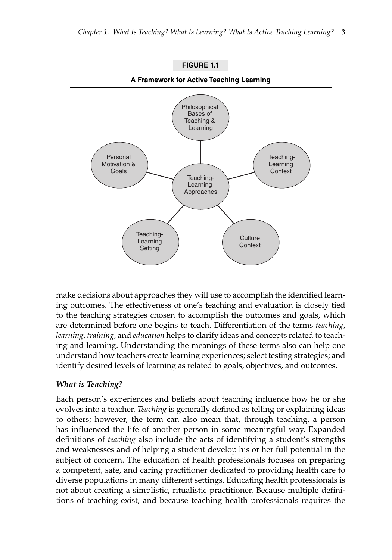

make decisions about approaches they will use to accomplish the identified learning outcomes. The effectiveness of one's teaching and evaluation is closely tied to the teaching strategies chosen to accomplish the outcomes and goals, which are determined before one begins to teach. Differentiation of the terms *teaching* , *learning* , *training* , and *education* helps to clarify ideas and concepts related to teaching and learning. Understanding the meanings of these terms also can help one understand how teachers create learning experiences; select testing strategies; and identify desired levels of learning as related to goals, objectives, and outcomes.

# *What is Teaching?*

 Each person's experiences and beliefs about teaching influence how he or she evolves into a teacher. *Teaching* is generally defined as telling or explaining ideas to others; however, the term can also mean that, through teaching, a person has influenced the life of another person in some meaningful way. Expanded definitions of *teaching* also include the acts of identifying a student's strengths and weaknesses and of helping a student develop his or her full potential in the subject of concern. The education of health professionals focuses on preparing a competent, safe, and caring practitioner dedicated to providing health care to diverse populations in many different settings. Educating health professionals is not about creating a simplistic, ritualistic practitioner. Because multiple definitions of teaching exist, and because teaching health professionals requires the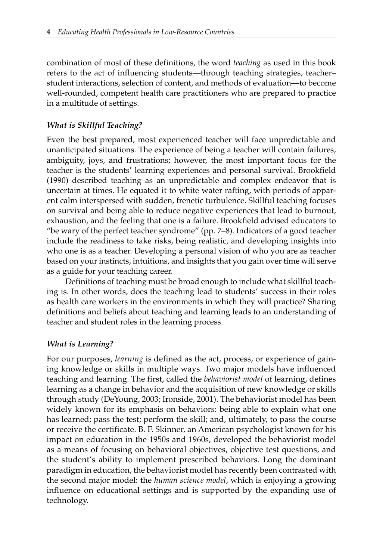combination of most of these definitions, the word *teaching* as used in this book refers to the act of influencing students—through teaching strategies, teacher– student interactions, selection of content, and methods of evaluation—to become well-rounded, competent health care practitioners who are prepared to practice in a multitude of settings.

# *What is Skillful Teaching?*

 Even the best prepared, most experienced teacher will face unpredictable and unanticipated situations. The experience of being a teacher will contain failures, ambiguity, joys, and frustrations; however, the most important focus for the teacher is the students' learning experiences and personal survival. Brookfield (1990) described teaching as an unpredictable and complex endeavor that is uncertain at times. He equated it to white water rafting, with periods of apparent calm interspersed with sudden, frenetic turbulence. Skillful teaching focuses on survival and being able to reduce negative experiences that lead to burnout, exhaustion, and the feeling that one is a failure. Brookfield advised educators to "be wary of the perfect teacher syndrome" (pp. 7–8). Indicators of a good teacher include the readiness to take risks, being realistic, and developing insights into who one is as a teacher. Developing a personal vision of who you are as teacher based on your instincts, intuitions, and insights that you gain over time will serve as a guide for your teaching career.

 Definitions of teaching must be broad enough to include what skillful teaching is. In other words, does the teaching lead to students' success in their roles as health care workers in the environments in which they will practice? Sharing definitions and beliefs about teaching and learning leads to an understanding of teacher and student roles in the learning process.

# *What is Learning?*

 For our purposes, *learning* is defined as the act, process, or experience of gaining knowledge or skills in multiple ways. Two major models have influenced teaching and learning. The first, called the *behaviorist model* of learning, defines learning as a change in behavior and the acquisition of new knowledge or skills through study (DeYoung, 2003; Ironside, 2001). The behaviorist model has been widely known for its emphasis on behaviors: being able to explain what one has learned; pass the test; perform the skill; and, ultimately, to pass the course or receive the certificate. B. F. Skinner, an American psychologist known for his impact on education in the 1950s and 1960s, developed the behaviorist model as a means of focusing on behavioral objectives, objective test questions, and the student's ability to implement prescribed behaviors. Long the dominant paradigm in education, the behaviorist model has recently been contrasted with the second major model: the *human science model* , which is enjoying a growing influence on educational settings and is supported by the expanding use of technology.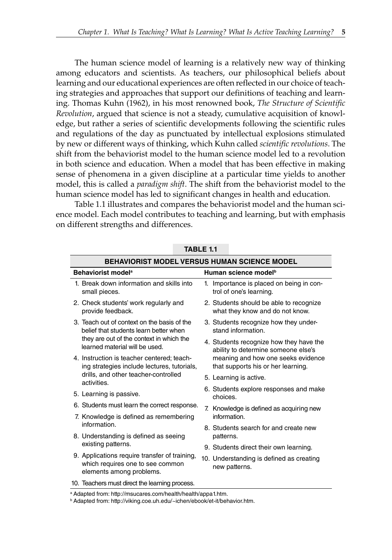The human science model of learning is a relatively new way of thinking among educators and scientists. As teachers, our philosophical beliefs about learning and our educational experiences are often reflected in our choice of teaching strategies and approaches that support our definitions of teaching and learning. Thomas Kuhn (1962), in his most renowned book, *The Structure of Scientific Revolution*, argued that science is not a steady, cumulative acquisition of knowledge, but rather a series of scientific developments following the scientific rules and regulations of the day as punctuated by intellectual explosions stimulated by new or different ways of thinking, which Kuhn called *scientific revolutions* . The shift from the behaviorist model to the human science model led to a revolution in both science and education. When a model that has been effective in making sense of phenomena in a given discipline at a particular time yields to another model, this is called a *paradigm shift* . The shift from the behaviorist model to the human science model has led to significant changes in health and education.

 Table 1.1 illustrates and compares the behaviorist model and the human science model. Each model contributes to teaching and learning, but with emphasis on different strengths and differences.

| TABLE 1.1                                           |                                                                                                                                                                     |                                                                                |  |  |  |  |  |
|-----------------------------------------------------|---------------------------------------------------------------------------------------------------------------------------------------------------------------------|--------------------------------------------------------------------------------|--|--|--|--|--|
| <b>BEHAVIORIST MODEL VERSUS HUMAN SCIENCE MODEL</b> |                                                                                                                                                                     |                                                                                |  |  |  |  |  |
|                                                     | Behaviorist model <sup>a</sup>                                                                                                                                      | Human science model <sup>b</sup>                                               |  |  |  |  |  |
|                                                     | 1. Break down information and skills into<br>small pieces.                                                                                                          | 1. Importance is placed on being in con-<br>trol of one's learning.            |  |  |  |  |  |
|                                                     | 2. Check students' work regularly and<br>provide feedback.                                                                                                          | 2. Students should be able to recognize<br>what they know and do not know.     |  |  |  |  |  |
|                                                     | 3. Teach out of context on the basis of the<br>belief that students learn better when<br>they are out of the context in which the<br>learned material will be used. | 3. Students recognize how they under-<br>stand information.                    |  |  |  |  |  |
|                                                     |                                                                                                                                                                     | 4. Students recognize how they have the<br>ability to determine someone else's |  |  |  |  |  |
|                                                     | 4. Instruction is teacher centered; teach-<br>ing strategies include lectures, tutorials,<br>drills, and other teacher-controlled<br>activities.                    | meaning and how one seeks evidence<br>that supports his or her learning.       |  |  |  |  |  |
|                                                     |                                                                                                                                                                     | 5. Learning is active.                                                         |  |  |  |  |  |
|                                                     | 5. Learning is passive.                                                                                                                                             | 6. Students explore responses and make<br>choices.                             |  |  |  |  |  |
|                                                     | 6. Students must learn the correct response.                                                                                                                        | 7. Knowledge is defined as acquiring new<br>information.                       |  |  |  |  |  |
|                                                     | 7. Knowledge is defined as remembering<br>information.                                                                                                              |                                                                                |  |  |  |  |  |
|                                                     |                                                                                                                                                                     | 8. Students search for and create new                                          |  |  |  |  |  |
|                                                     | 8. Understanding is defined as seeing<br>existing patterns.                                                                                                         | patterns.                                                                      |  |  |  |  |  |
|                                                     |                                                                                                                                                                     | 9. Students direct their own learning.                                         |  |  |  |  |  |
|                                                     | 9. Applications require transfer of training,<br>which requires one to see common<br>elements among problems.                                                       | 10. Understanding is defined as creating<br>new patterns.                      |  |  |  |  |  |
|                                                     | 10. Teachers must direct the learning process.                                                                                                                      |                                                                                |  |  |  |  |  |

**TABLE 1.1**

a Adapted from: http://msucares.com/health/health/appa1.htm.<br>والمعاملة المسابقة المستمر المسابقة المستمر المسابقة المستمر المستمر المستمر المستمر المستمر المستمر المستمر ا

Adapted from: http://viking.coe.uh.edu/~ichen/ebook/et-it/behavior.htm.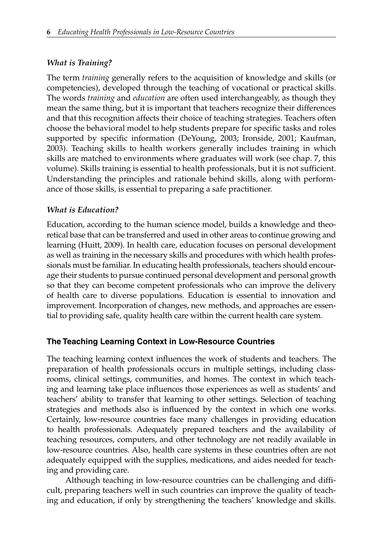# *What is Training?*

 The term *training* generally refers to the acquisition of knowledge and skills (or competencies), developed through the teaching of vocational or practical skills. The words *training* and *education* are often used interchangeably, as though they mean the same thing, but it is important that teachers recognize their differences and that this recognition affects their choice of teaching strategies. Teachers often choose the behavioral model to help students prepare for specific tasks and roles supported by specific information (DeYoung, 2003; Ironside, 2001; Kaufman, 2003). Teaching skills to health workers generally includes training in which skills are matched to environments where graduates will work (see chap. 7, this volume). Skills training is essential to health professionals, but it is not sufficient. Understanding the principles and rationale behind skills, along with performance of those skills, is essential to preparing a safe practitioner.

## *What is Education?*

 Education, according to the human science model, builds a knowledge and theoretical base that can be transferred and used in other areas to continue growing and learning (Huitt, 2009). In health care, education focuses on personal development as well as training in the necessary skills and procedures with which health professionals must be familiar. In educating health professionals, teachers should encourage their students to pursue continued personal development and personal growth so that they can become competent professionals who can improve the delivery of health care to diverse populations. Education is essential to innovation and improvement. Incorporation of changes, new methods, and approaches are essential to providing safe, quality health care within the current health care system.

## **The Teaching Learning Context in Low-Resource Countries**

 The teaching learning context influences the work of students and teachers. The preparation of health professionals occurs in multiple settings, including classrooms, clinical settings, communities, and homes. The context in which teaching and learning take place influences those experiences as well as students' and teachers' ability to transfer that learning to other settings. Selection of teaching strategies and methods also is influenced by the context in which one works. Certainly, low-resource countries face many challenges in providing education to health professionals. Adequately prepared teachers and the availability of teaching resources, computers, and other technology are not readily available in low-resource countries. Also, health care systems in these countries often are not adequately equipped with the supplies, medications, and aides needed for teaching and providing care.

 Although teaching in low-resource countries can be challenging and difficult, preparing teachers well in such countries can improve the quality of teaching and education, if only by strengthening the teachers' knowledge and skills.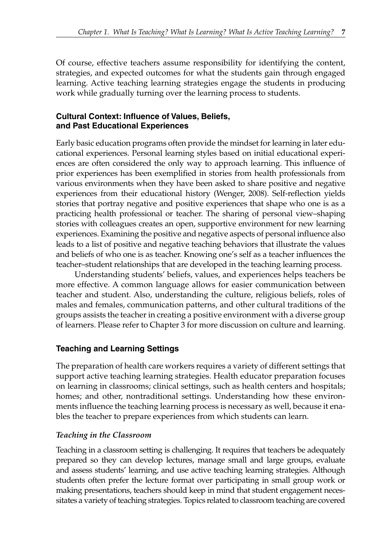Of course, effective teachers assume responsibility for identifying the content, strategies, and expected outcomes for what the students gain through engaged learning. Active teaching learning strategies engage the students in producing work while gradually turning over the learning process to students.

## **Cultural Context: Influence of Values, Beliefs, and Past Educational Experiences**

 Early basic education programs often provide the mindset for learning in later educational experiences. Personal learning styles based on initial educational experiences are often considered the only way to approach learning. This influence of prior experiences has been exemplified in stories from health professionals from various environments when they have been asked to share positive and negative experiences from their educational history (Wenger, 2008). Self-reflection yields stories that portray negative and positive experiences that shape who one is as a practicing health professional or teacher. The sharing of personal view–shaping stories with colleagues creates an open, supportive environment for new learning experiences. Examining the positive and negative aspects of personal influence also leads to a list of positive and negative teaching behaviors that illustrate the values and beliefs of who one is as teacher. Knowing one's self as a teacher influences the teacher–student relationships that are developed in the teaching learning process.

 Understanding students' beliefs, values, and experiences helps teachers be more effective. A common language allows for easier communication between teacher and student. Also, understanding the culture, religious beliefs, roles of males and females, communication patterns, and other cultural traditions of the groups assists the teacher in creating a positive environment with a diverse group of learners. Please refer to Chapter 3 for more discussion on culture and learning.

# **Teaching and Learning Settings**

 The preparation of health care workers requires a variety of different settings that support active teaching learning strategies. Health educator preparation focuses on learning in classrooms; clinical settings, such as health centers and hospitals; homes; and other, nontraditional settings. Understanding how these environments influence the teaching learning process is necessary as well, because it enables the teacher to prepare experiences from which students can learn.

# *Teaching in the Classroom*

 Teaching in a classroom setting is challenging. It requires that teachers be adequately prepared so they can develop lectures, manage small and large groups, evaluate and assess students' learning, and use active teaching learning strategies. Although students often prefer the lecture format over participating in small group work or making presentations, teachers should keep in mind that student engagement necessitates a variety of teaching strategies. Topics related to classroom teaching are covered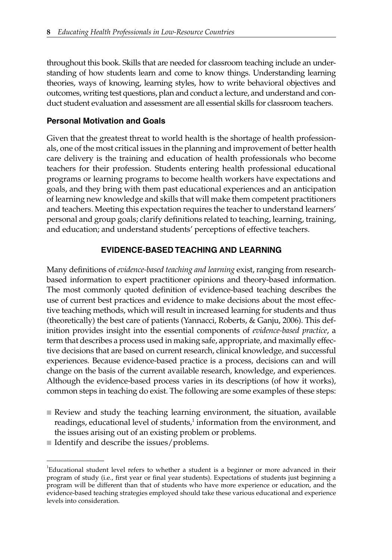throughout this book. Skills that are needed for classroom teaching include an understanding of how students learn and come to know things. Understanding learning theories, ways of knowing, learning styles, how to write behavioral objectives and outcomes, writing test questions, plan and conduct a lecture, and understand and conduct student evaluation and assessment are all essential skills for classroom teachers.

## **Personal Motivation and Goals**

 Given that the greatest threat to world health is the shortage of health professionals, one of the most critical issues in the planning and improvement of better health care delivery is the training and education of health professionals who become teachers for their profession. Students entering health professional educational programs or learning programs to become health workers have expectations and goals, and they bring with them past educational experiences and an anticipation of learning new knowledge and skills that will make them competent practitioners and teachers. Meeting this expectation requires the teacher to understand learners' personal and group goals; clarify definitions related to teaching, learning, training, and education; and understand students' perceptions of effective teachers.

## **EVIDENCE-BASED TEACHING AND LEARNING**

 Many definitions of *evidence-based teaching and learning* exist, ranging from researchbased information to expert practitioner opinions and theory-based information. The most commonly quoted definition of evidence-based teaching describes the use of current best practices and evidence to make decisions about the most effective teaching methods, which will result in increased learning for students and thus (theoretically) the best care of patients (Yannacci, Roberts, & Ganju, 2006). This definition provides insight into the essential components of *evidence-based practice* , a term that describes a process used in making safe, appropriate, and maximally effective decisions that are based on current research, clinical knowledge, and successful experiences. Because evidence-based practice is a process, decisions can and will change on the basis of the current available research, knowledge, and experiences. Although the evidence-based process varies in its descriptions (of how it works), common steps in teaching do exist. The following are some examples of these steps:

- Review and study the teaching learning environment, the situation, available readings, educational level of students, $^1$  information from the environment, and the issues arising out of an existing problem or problems.
- Identify and describe the issues/problems.

<sup>&</sup>lt;sup>1</sup>Educational student level refers to whether a student is a beginner or more advanced in their program of study (i.e., first year or final year students). Expectations of students just beginning a program will be different than that of students who have more experience or education, and the evidence-based teaching strategies employed should take these various educational and experience levels into consideration.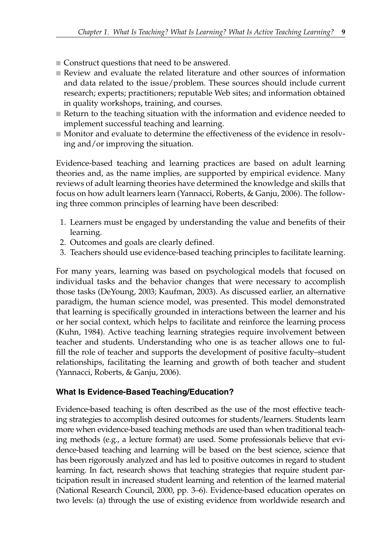- Construct questions that need to be answered.
- Review and evaluate the related literature and other sources of information and data related to the issue/problem. These sources should include current research; experts; practitioners; reputable Web sites; and information obtained in quality workshops, training, and courses.
- Return to the teaching situation with the information and evidence needed to implement successful teaching and learning.
- Monitor and evaluate to determine the effectiveness of the evidence in resolving and/or improving the situation.

 Evidence-based teaching and learning practices are based on adult learning theories and, as the name implies, are supported by empirical evidence. Many reviews of adult learning theories have determined the knowledge and skills that focus on how adult learners learn (Yannacci, Roberts, & Ganju, 2006). The following three common principles of learning have been described:

- 1. Learners must be engaged by understanding the value and benefits of their learning.
- 2. Outcomes and goals are clearly defined.
- 3. Teachers should use evidence-based teaching principles to facilitate learning.

 For many years, learning was based on psychological models that focused on individual tasks and the behavior changes that were necessary to accomplish those tasks (DeYoung, 2003; Kaufman, 2003). As discussed earlier, an alternative paradigm, the human science model, was presented. This model demonstrated that learning is specifically grounded in interactions between the learner and his or her social context, which helps to facilitate and reinforce the learning process (Kuhn, 1984). Active teaching learning strategies require involvement between teacher and students. Understanding who one is as teacher allows one to fulfill the role of teacher and supports the development of positive faculty–student relationships, facilitating the learning and growth of both teacher and student (Yannacci, Roberts, & Ganju, 2006).

## **What Is Evidence-Based Teaching/Education?**

 Evidence-based teaching is often described as the use of the most effective teaching strategies to accomplish desired outcomes for students/learners. Students learn more when evidence-based teaching methods are used than when traditional teaching methods (e.g., a lecture format) are used. Some professionals believe that evidence-based teaching and learning will be based on the best science, science that has been rigorously analyzed and has led to positive outcomes in regard to student learning. In fact, research shows that teaching strategies that require student participation result in increased student learning and retention of the learned material (National Research Council, 2000, pp. 3–6). Evidence-based education operates on two levels: (a) through the use of existing evidence from worldwide research and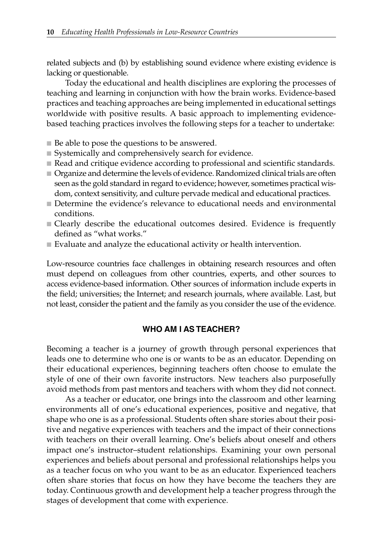related subjects and (b) by establishing sound evidence where existing evidence is lacking or questionable.

 Today the educational and health disciplines are exploring the processes of teaching and learning in conjunction with how the brain works. Evidence-based practices and teaching approaches are being implemented in educational settings worldwide with positive results. A basic approach to implementing evidencebased teaching practices involves the following steps for a teacher to undertake:

- Be able to pose the questions to be answered.
- Systemically and comprehensively search for evidence.
- Read and critique evidence according to professional and scientific standards.
- Organize and determine the levels of evidence. Randomized clinical trials are often seen as the gold standard in regard to evidence; however, sometimes practical wisdom, context sensitivity, and culture pervade medical and educational practices.
- Determine the evidence's relevance to educational needs and environmental conditions.
- Clearly describe the educational outcomes desired. Evidence is frequently defined as "what works."
- Evaluate and analyze the educational activity or health intervention.

 Low-resource countries face challenges in obtaining research resources and often must depend on colleagues from other countries, experts, and other sources to access evidence-based information. Other sources of information include experts in the field; universities; the Internet; and research journals, where available. Last, but not least, consider the patient and the family as you consider the use of the evidence.

## **WHO AM I AS TEACHER?**

 Becoming a teacher is a journey of growth through personal experiences that leads one to determine who one is or wants to be as an educator. Depending on their educational experiences, beginning teachers often choose to emulate the style of one of their own favorite instructors. New teachers also purposefully avoid methods from past mentors and teachers with whom they did not connect.

 As a teacher or educator, one brings into the classroom and other learning environments all of one's educational experiences, positive and negative, that shape who one is as a professional. Students often share stories about their positive and negative experiences with teachers and the impact of their connections with teachers on their overall learning. One's beliefs about oneself and others impact one's instructor–student relationships. Examining your own personal experiences and beliefs about personal and professional relationships helps you as a teacher focus on who you want to be as an educator. Experienced teachers often share stories that focus on how they have become the teachers they are today. Continuous growth and development help a teacher progress through the stages of development that come with experience.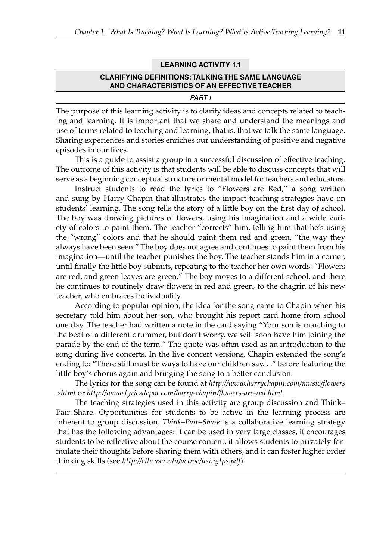#### **CLARIFYING DEFINITIONS: TALKING THE SAME LANGUAGE AND CHARACTERISTICS OF AN EFFECTIVE TEACHER**

#### PART I

 The purpose of this learning activity is to clarify ideas and concepts related to teaching and learning. It is important that we share and understand the meanings and use of terms related to teaching and learning, that is, that we talk the same language. Sharing experiences and stories enriches our understanding of positive and negative episodes in our lives.

 This is a guide to assist a group in a successful discussion of effective teaching. The outcome of this activity is that students will be able to discuss concepts that will serve as a beginning conceptual structure or mental model for teachers and educators.

 Instruct students to read the lyrics to "Flowers are Red," a song written and sung by Harry Chapin that illustrates the impact teaching strategies have on students' learning. The song tells the story of a little boy on the first day of school. The boy was drawing pictures of flowers, using his imagination and a wide variety of colors to paint them. The teacher "corrects" him, telling him that he's using the "wrong" colors and that he should paint them red and green, "the way they always have been seen." The boy does not agree and continues to paint them from his imagination—until the teacher punishes the boy. The teacher stands him in a corner, until finally the little boy submits, repeating to the teacher her own words: "Flowers are red, and green leaves are green." The boy moves to a different school, and there he continues to routinely draw flowers in red and green, to the chagrin of his new teacher, who embraces individuality.

 According to popular opinion, the idea for the song came to Chapin when his secretary told him about her son, who brought his report card home from school one day. The teacher had written a note in the card saying "Your son is marching to the beat of a different drummer, but don't worry, we will soon have him joining the parade by the end of the term." The quote was often used as an introduction to the song during live concerts. In the live concert versions, Chapin extended the song's ending to: "There still must be ways to have our children say. . ." before featuring the little boy's chorus again and bringing the song to a better conclusion.

 The lyrics for the song can be found at *http://www.harrychapin.com/music/flowers .shtml* or *http://www.lyricsdepot.com/harry-chapin/flowers-are-red.html .*

 The teaching strategies used in this activity are group discussion and Think– Pair–Share. Opportunities for students to be active in the learning process are inherent to group discussion. *Think–Pair–Share* is a collaborative learning strategy that has the following advantages: It can be used in very large classes, it encourages students to be reflective about the course content, it allows students to privately formulate their thoughts before sharing them with others, and it can foster higher order thinking skills (see *http://clte.asu.edu/active/usingtps.pdf* ).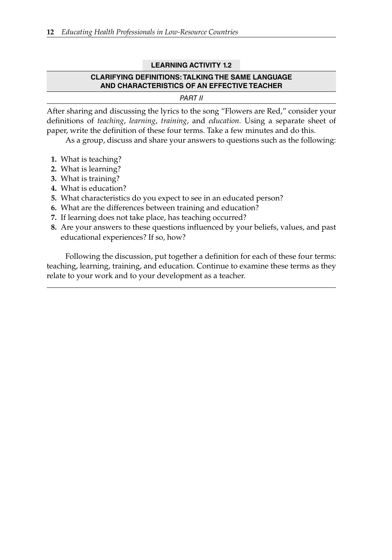## **CLARIFYING DEFINITIONS: TALKING THE SAME LANGUAGE AND CHARACTERISTICS OF AN EFFECTIVE TEACHER**

#### PART II

 After sharing and discussing the lyrics to the song "Flowers are Red," consider your definitions of *teaching*, *learning*, *training*, and *education*. Using a separate sheet of paper, write the definition of these four terms. Take a few minutes and do this.

As a group, discuss and share your answers to questions such as the following:

- **1.** What is teaching?
- **2.** What is learning?
- **3.** What is training?
- **4.** What is education?
- **5.** What characteristics do you expect to see in an educated person?
- **6.** What are the differences between training and education?
- **7.** If learning does not take place, has teaching occurred?
- **8.** Are your answers to these questions influenced by your beliefs, values, and past educational experiences? If so, how?

 Following the discussion, put together a definition for each of these four terms: teaching, learning, training, and education. Continue to examine these terms as they relate to your work and to your development as a teacher.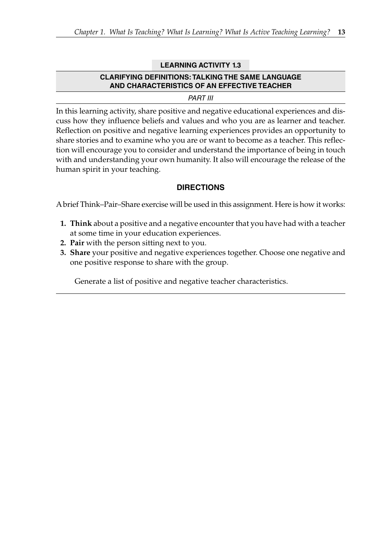## **CLARIFYING DEFINITIONS: TALKING THE SAME LANGUAGE AND CHARACTERISTICS OF AN EFFECTIVE TEACHER**

#### PART III

 In this learning activity, share positive and negative educational experiences and discuss how they influence beliefs and values and who you are as learner and teacher. Reflection on positive and negative learning experiences provides an opportunity to share stories and to examine who you are or want to become as a teacher. This reflection will encourage you to consider and understand the importance of being in touch with and understanding your own humanity. It also will encourage the release of the human spirit in your teaching.

## **DIRECTIONS**

A brief Think–Pair–Share exercise will be used in this assignment. Here is how it works:

- **1. Think** about a positive and a negative encounter that you have had with a teacher at some time in your education experiences.
- **2. Pair** with the person sitting next to you.
- **3. Share** your positive and negative experiences together. Choose one negative and one positive response to share with the group.

Generate a list of positive and negative teacher characteristics.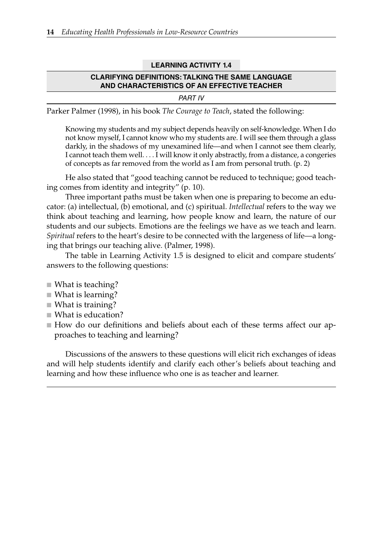#### **CLARIFYING DEFINITIONS: TALKING THE SAME LANGUAGE AND CHARACTERISTICS OF AN EFFECTIVE TEACHER**

PART IV

Parker Palmer (1998), in his book *The Courage to Teach*, stated the following:

 Knowing my students and my subject depends heavily on self-knowledge. When I do not know myself, I cannot know who my students are. I will see them through a glass darkly, in the shadows of my unexamined life—and when I cannot see them clearly, I cannot teach them well. . . . I will know it only abstractly, from a distance, a congeries of concepts as far removed from the world as I am from personal truth. (p. 2)

 He also stated that "good teaching cannot be reduced to technique; good teaching comes from identity and integrity" (p. 10).

 Three important paths must be taken when one is preparing to become an educator: (a) intellectual, (b) emotional, and (c) spiritual. *Intellectual* refers to the way we think about teaching and learning, how people know and learn, the nature of our students and our subjects. Emotions are the feelings we have as we teach and learn. *Spiritual* refers to the heart's desire to be connected with the largeness of life—a longing that brings our teaching alive. (Palmer, 1998).

 The table in Learning Activity 1.5 is designed to elicit and compare students' answers to the following questions:

- What is teaching?
- What is learning?
- What is training?
- What is education?
- How do our definitions and beliefs about each of these terms affect our approaches to teaching and learning?

 Discussions of the answers to these questions will elicit rich exchanges of ideas and will help students identify and clarify each other's beliefs about teaching and learning and how these influence who one is as teacher and learner.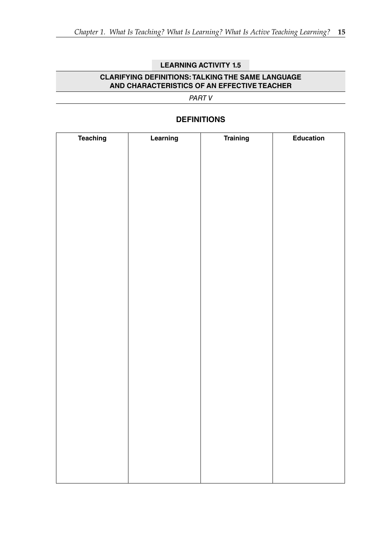#### **CLARIFYING DEFINITIONS: TALKING THE SAME LANGUAGE AND CHARACTERISTICS OF AN EFFECTIVE TEACHER**

#### PART V

| Teaching | Learning | <b>Training</b> | Education |
|----------|----------|-----------------|-----------|
|          |          |                 |           |
|          |          |                 |           |
|          |          |                 |           |
|          |          |                 |           |
|          |          |                 |           |
|          |          |                 |           |
|          |          |                 |           |
|          |          |                 |           |
|          |          |                 |           |
|          |          |                 |           |
|          |          |                 |           |
|          |          |                 |           |
|          |          |                 |           |
|          |          |                 |           |
|          |          |                 |           |
|          |          |                 |           |
|          |          |                 |           |
|          |          |                 |           |
|          |          |                 |           |
|          |          |                 |           |
|          |          |                 |           |
|          |          |                 |           |
|          |          |                 |           |
|          |          |                 |           |

## **DEFINITIONS**